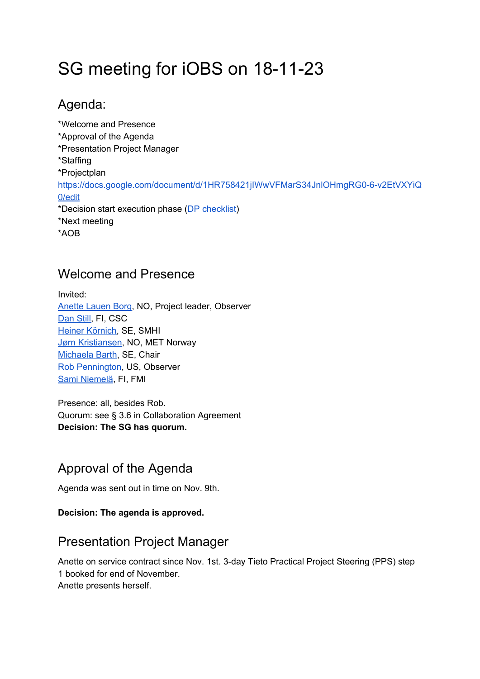# SG meeting for iOBS on 18-11-23

### Agenda:

\*Welcome and Presence \*Approval of the Agenda \*Presentation Project Manager \*Staffing \*Projectplan [https://docs.google.com/document/d/1HR758421jIWwVFMarS34JnlOHmgRG0-6-v2EtVXYiQ](https://docs.google.com/document/d/1HR758421jIWwVFMarS34JnlOHmgRG0-6-v2EtVXYiQ0/edit) [0/edit](https://docs.google.com/document/d/1HR758421jIWwVFMarS34JnlOHmgRG0-6-v2EtVXYiQ0/edit) \*Decision start execution phase (DP [checklist](https://docs.google.com/document/d/1uXT15ai2-0PBS-_Duhs-CIv_Hwh6m86OJBGpfnURosk/edit)) \*Next meeting \*AOB

#### Welcome and Presence

Invited: [Anette](https://neic.no/people/anette-lauen-borg/) Lauen Borg, NO, Project leader, Observer [Dan](https://neic.no/people/dan-still/) Still, FI, CSC Heiner [Körnich,](https://neic.no/people/heiner-kornich/) SE, SMHI Jørn [Kristiansen,](https://neic.no/people/jorn-kristiansen/) NO, MET Norway [Michaela](https://neic.no/people/michaela-barth/) Barth, SE, Chair Rob [Pennington,](https://neic.no/people/rob-pennington/) US, Observer Sami [Niemelä](https://neic.no/people/sami-niemela/), FI, FMI

Presence: all, besides Rob. Quorum: see § 3.6 in Collaboration Agreement **Decision: The SG has quorum.**

### Approval of the Agenda

Agenda was sent out in time on Nov. 9th.

#### **Decision: The agenda is approved.**

### Presentation Project Manager

Anette on service contract since Nov. 1st. 3-day Tieto Practical Project Steering (PPS) step 1 booked for end of November.

Anette presents herself.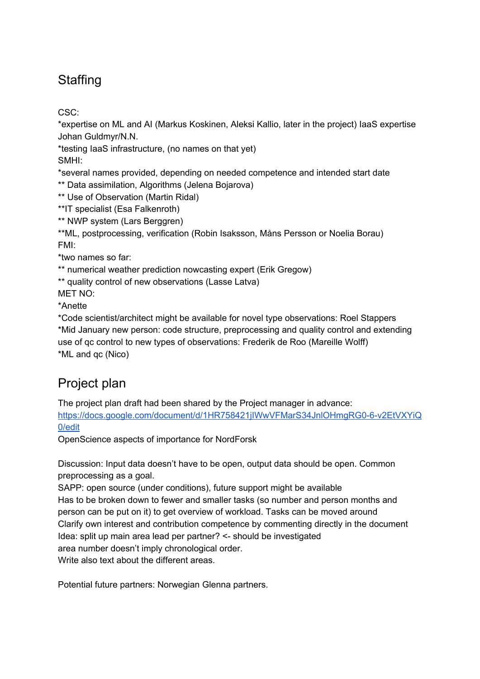# **Staffing**

CSC:

\*expertise on ML and AI (Markus Koskinen, Aleksi Kallio, later in the project) IaaS expertise Johan Guldmyr/N.N.

\*testing IaaS infrastructure, (no names on that yet)

SMHI:

\*several names provided, depending on needed competence and intended start date

\*\* Data assimilation, Algorithms (Jelena Bojarova)

\*\* Use of Observation (Martin Ridal)

\*\*IT specialist (Esa Falkenroth)

\*\* NWP system (Lars Berggren)

\*\*ML, postprocessing, verification (Robin Isaksson, Måns Persson or Noelia Borau) FMI:

\*two names so far:

\*\* numerical weather prediction nowcasting expert (Erik Gregow)

\*\* quality control of new observations (Lasse Latva)

MET NO:

\*Anette

\*Code scientist/architect might be available for novel type observations: Roel Stappers \*Mid January new person: code structure, preprocessing and quality control and extending use of qc control to new types of observations: Frederik de Roo (Mareille Wolff) \*ML and qc (Nico)

## Project plan

The project plan draft had been shared by the Project manager in advance:

[https://docs.google.com/document/d/1HR758421jIWwVFMarS34JnlOHmgRG0-6-v2EtVXYiQ](https://docs.google.com/document/d/1HR758421jIWwVFMarS34JnlOHmgRG0-6-v2EtVXYiQ0/edit) [0/edit](https://docs.google.com/document/d/1HR758421jIWwVFMarS34JnlOHmgRG0-6-v2EtVXYiQ0/edit)

OpenScience aspects of importance for NordForsk

Discussion: Input data doesn't have to be open, output data should be open. Common preprocessing as a goal.

SAPP: open source (under conditions), future support might be available Has to be broken down to fewer and smaller tasks (so number and person months and person can be put on it) to get overview of workload. Tasks can be moved around Clarify own interest and contribution competence by commenting directly in the document Idea: split up main area lead per partner? <- should be investigated area number doesn't imply chronological order. Write also text about the different areas.

Potential future partners: Norwegian Glenna partners.